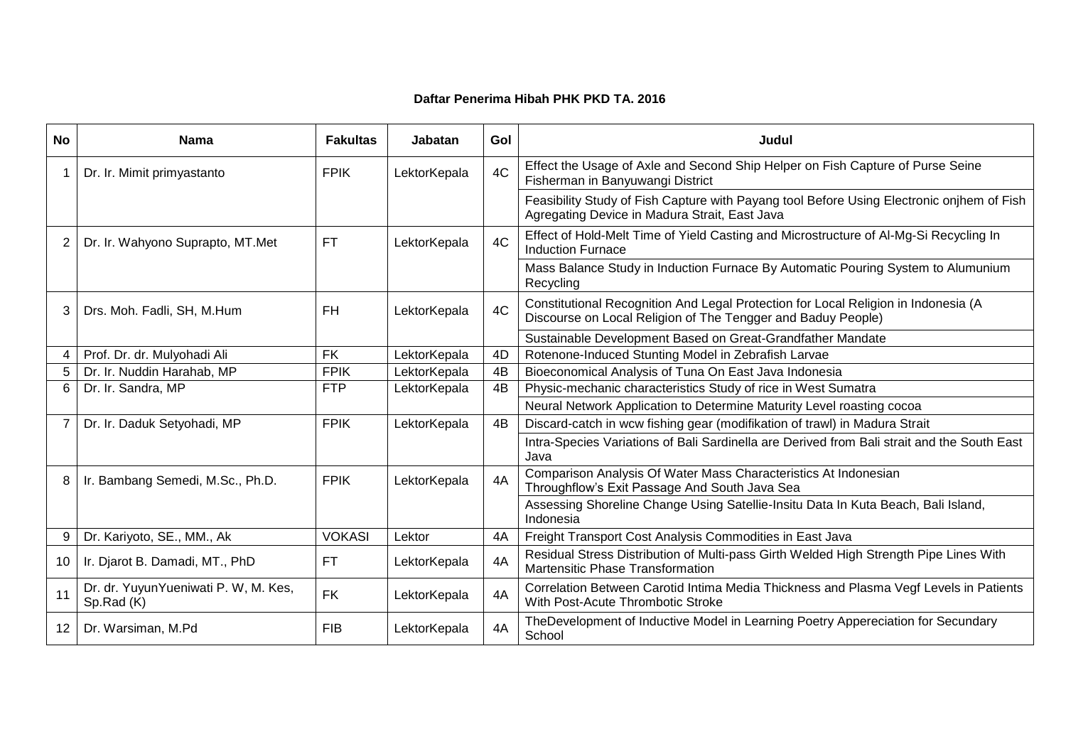## **Daftar Penerima Hibah PHK PKD TA. 2016**

| <b>No</b>      | <b>Nama</b>                                        | <b>Fakultas</b> | Jabatan      | Gol | Judul                                                                                                                                              |
|----------------|----------------------------------------------------|-----------------|--------------|-----|----------------------------------------------------------------------------------------------------------------------------------------------------|
|                | Dr. Ir. Mimit primyastanto                         | <b>FPIK</b>     | LektorKepala | 4C  | Effect the Usage of Axle and Second Ship Helper on Fish Capture of Purse Seine<br>Fisherman in Banyuwangi District                                 |
|                |                                                    |                 |              |     | Feasibility Study of Fish Capture with Payang tool Before Using Electronic onjhem of Fish<br>Agregating Device in Madura Strait, East Java         |
| $\overline{2}$ | Dr. Ir. Wahyono Suprapto, MT.Met                   | <b>FT</b>       | LektorKepala | 4C  | Effect of Hold-Melt Time of Yield Casting and Microstructure of Al-Mg-Si Recycling In<br>Induction Furnace                                         |
|                |                                                    |                 |              |     | Mass Balance Study in Induction Furnace By Automatic Pouring System to Alumunium<br>Recycling                                                      |
| 3              | Drs. Moh. Fadli, SH, M.Hum                         | <b>FH</b>       | LektorKepala | 4C  | Constitutional Recognition And Legal Protection for Local Religion in Indonesia (A<br>Discourse on Local Religion of The Tengger and Baduy People) |
|                |                                                    |                 |              |     | Sustainable Development Based on Great-Grandfather Mandate                                                                                         |
| 4              | Prof. Dr. dr. Mulyohadi Ali                        | <b>FK</b>       | LektorKepala | 4D  | Rotenone-Induced Stunting Model in Zebrafish Larvae                                                                                                |
| 5              | Dr. Ir. Nuddin Harahab, MP                         | <b>FPIK</b>     | LektorKepala | 4B  | Bioeconomical Analysis of Tuna On East Java Indonesia                                                                                              |
| 6              | Dr. Ir. Sandra, MP                                 | <b>FTP</b>      | LektorKepala | 4B  | Physic-mechanic characteristics Study of rice in West Sumatra                                                                                      |
|                |                                                    |                 |              |     | Neural Network Application to Determine Maturity Level roasting cocoa                                                                              |
| $\overline{7}$ | Dr. Ir. Daduk Setyohadi, MP                        | <b>FPIK</b>     | LektorKepala | 4B  | Discard-catch in wcw fishing gear (modifikation of trawl) in Madura Strait                                                                         |
|                |                                                    |                 |              |     | Intra-Species Variations of Bali Sardinella are Derived from Bali strait and the South East<br>Java                                                |
| 8              | Ir. Bambang Semedi, M.Sc., Ph.D.                   | <b>FPIK</b>     | LektorKepala | 4A  | Comparison Analysis Of Water Mass Characteristics At Indonesian<br>Throughflow's Exit Passage And South Java Sea                                   |
|                |                                                    |                 |              |     | Assessing Shoreline Change Using Satellie-Insitu Data In Kuta Beach, Bali Island,<br>Indonesia                                                     |
| 9              | Dr. Kariyoto, SE., MM., Ak                         | <b>VOKASI</b>   | Lektor       | 4A  | Freight Transport Cost Analysis Commodities in East Java                                                                                           |
| 10             | Ir. Djarot B. Damadi, MT., PhD                     | <b>FT</b>       | LektorKepala | 4A  | Residual Stress Distribution of Multi-pass Girth Welded High Strength Pipe Lines With<br>Martensitic Phase Transformation                          |
| 11             | Dr. dr. YuyunYueniwati P. W, M. Kes,<br>Sp.Rad (K) | <b>FK</b>       | LektorKepala | 4A  | Correlation Between Carotid Intima Media Thickness and Plasma Vegf Levels in Patients<br>With Post-Acute Thrombotic Stroke                         |
| $12 \,$        | Dr. Warsiman, M.Pd                                 | <b>FIB</b>      | LektorKepala | 4A  | TheDevelopment of Inductive Model in Learning Poetry Appereciation for Secundary<br>School                                                         |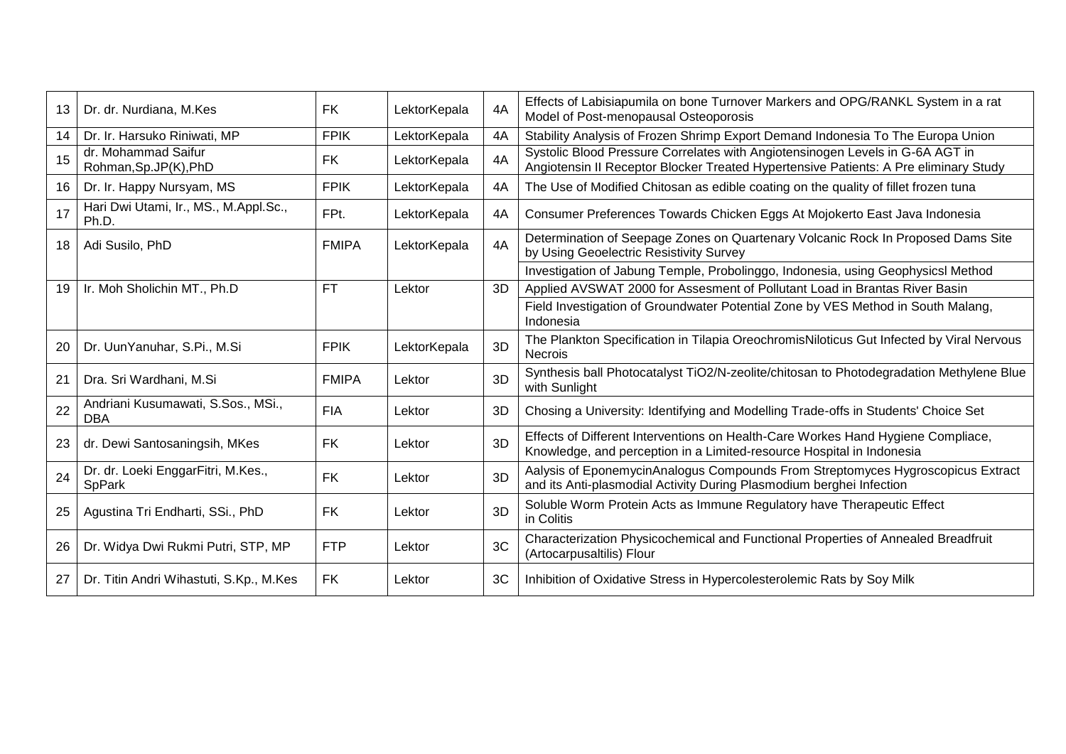| 13 | Dr. dr. Nurdiana, M.Kes                          | <b>FK</b>    | LektorKepala | 4A | Effects of Labisiapumila on bone Turnover Markers and OPG/RANKL System in a rat<br>Model of Post-menopausal Osteoporosis                                              |
|----|--------------------------------------------------|--------------|--------------|----|-----------------------------------------------------------------------------------------------------------------------------------------------------------------------|
| 14 | Dr. Ir. Harsuko Riniwati, MP                     | <b>FPIK</b>  | LektorKepala | 4A | Stability Analysis of Frozen Shrimp Export Demand Indonesia To The Europa Union                                                                                       |
| 15 | dr. Mohammad Saifur<br>Rohman, Sp.JP(K), PhD     | <b>FK</b>    | LektorKepala | 4A | Systolic Blood Pressure Correlates with Angiotensinogen Levels in G-6A AGT in<br>Angiotensin II Receptor Blocker Treated Hypertensive Patients: A Pre eliminary Study |
| 16 | Dr. Ir. Happy Nursyam, MS                        | <b>FPIK</b>  | LektorKepala | 4A | The Use of Modified Chitosan as edible coating on the quality of fillet frozen tuna                                                                                   |
| 17 | Hari Dwi Utami, Ir., MS., M.Appl.Sc.,<br>Ph.D.   | FPt.         | LektorKepala | 4A | Consumer Preferences Towards Chicken Eggs At Mojokerto East Java Indonesia                                                                                            |
| 18 | Adi Susilo, PhD                                  | <b>FMIPA</b> | LektorKepala | 4A | Determination of Seepage Zones on Quartenary Volcanic Rock In Proposed Dams Site<br>by Using Geoelectric Resistivity Survey                                           |
|    |                                                  |              |              |    | Investigation of Jabung Temple, Probolinggo, Indonesia, using GeophysicsI Method                                                                                      |
| 19 | Ir. Moh Sholichin MT., Ph.D                      | <b>FT</b>    | Lektor       | 3D | Applied AVSWAT 2000 for Assesment of Pollutant Load in Brantas River Basin                                                                                            |
|    |                                                  |              |              |    | Field Investigation of Groundwater Potential Zone by VES Method in South Malang,<br>Indonesia                                                                         |
| 20 | Dr. UunYanuhar, S.Pi., M.Si                      | <b>FPIK</b>  | LektorKepala | 3D | The Plankton Specification in Tilapia OreochromisNiloticus Gut Infected by Viral Nervous<br>Necrois                                                                   |
| 21 | Dra. Sri Wardhani, M.Si                          | <b>FMIPA</b> | Lektor       | 3D | Synthesis ball Photocatalyst TiO2/N-zeolite/chitosan to Photodegradation Methylene Blue<br>with Sunlight                                                              |
| 22 | Andriani Kusumawati, S.Sos., MSi.,<br><b>DBA</b> | <b>FIA</b>   | Lektor       | 3D | Chosing a University: Identifying and Modelling Trade-offs in Students' Choice Set                                                                                    |
| 23 | dr. Dewi Santosaningsih, MKes                    | <b>FK</b>    | Lektor       | 3D | Effects of Different Interventions on Health-Care Workes Hand Hygiene Compliace,<br>Knowledge, and perception in a Limited-resource Hospital in Indonesia             |
| 24 | Dr. dr. Loeki EnggarFitri, M.Kes.,<br>SpPark     | <b>FK</b>    | Lektor       | 3D | Aalysis of EponemycinAnalogus Compounds From Streptomyces Hygroscopicus Extract<br>and its Anti-plasmodial Activity During Plasmodium berghei Infection               |
| 25 | Agustina Tri Endharti, SSi., PhD                 | <b>FK</b>    | Lektor       | 3D | Soluble Worm Protein Acts as Immune Regulatory have Therapeutic Effect<br>in Colitis                                                                                  |
| 26 | Dr. Widya Dwi Rukmi Putri, STP, MP               | <b>FTP</b>   | Lektor       | 3C | Characterization Physicochemical and Functional Properties of Annealed Breadfruit<br>(Artocarpusaltilis) Flour                                                        |
| 27 | Dr. Titin Andri Wihastuti, S.Kp., M.Kes          | <b>FK</b>    | Lektor       | 3C | Inhibition of Oxidative Stress in Hypercolesterolemic Rats by Soy Milk                                                                                                |